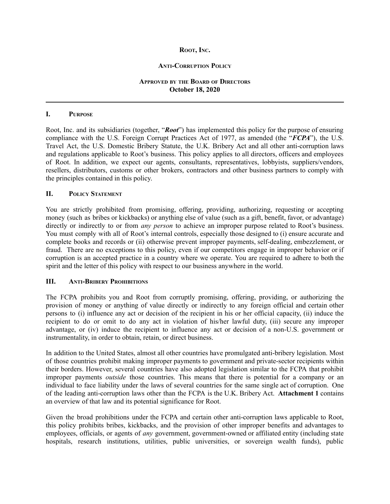#### **ROOT, INC.**

#### **ANTI-CORRUPTION POLICY**

### **APPROVED BY THE BOARD OF DIRECTORS October 18, 2020**

### **I. PURPOSE**

Root, Inc. and its subsidiaries (together, "*Root*") has implemented this policy for the purpose of ensuring compliance with the U.S. Foreign Corrupt Practices Act of 1977, as amended (the "*FCPA*"), the U.S. Travel Act, the U.S. Domestic Bribery Statute, the U.K. Bribery Act and all other anti-corruption laws and regulations applicable to Root's business. This policy applies to all directors, officers and employees of Root. In addition, we expect our agents, consultants, representatives, lobbyists, suppliers/vendors, resellers, distributors, customs or other brokers, contractors and other business partners to comply with the principles contained in this policy.

### **II. POLICY STATEMENT**

You are strictly prohibited from promising, offering, providing, authorizing, requesting or accepting money (such as bribes or kickbacks) or anything else of value (such as a gift, benefit, favor, or advantage) directly or indirectly to or from *any person* to achieve an improper purpose related to Root's business. You must comply with all of Root's internal controls, especially those designed to (i) ensure accurate and complete books and records or (ii) otherwise prevent improper payments, self-dealing, embezzlement, or fraud. There are no exceptions to this policy, even if our competitors engage in improper behavior or if corruption is an accepted practice in a country where we operate. You are required to adhere to both the spirit and the letter of this policy with respect to our business anywhere in the world.

### **III. ANTI-BRIBERY PROHIBITIONS**

The FCPA prohibits you and Root from corruptly promising, offering, providing, or authorizing the provision of money or anything of value directly or indirectly to any foreign official and certain other persons to (i) influence any act or decision of the recipient in his or her official capacity, (ii) induce the recipient to do or omit to do any act in violation of his/her lawful duty, (iii) secure any improper advantage, or (iv) induce the recipient to influence any act or decision of a non-U.S. government or instrumentality, in order to obtain, retain, or direct business.

In addition to the United States, almost all other countries have promulgated anti-bribery legislation. Most of those countries prohibit making improper payments to government and private-sector recipients within their borders. However, several countries have also adopted legislation similar to the FCPA that prohibit improper payments *outside* those countries. This means that there is potential for a company or an individual to face liability under the laws of several countries for the same single act of corruption. One of the leading anti-corruption laws other than the FCPA is the U.K. Bribery Act. **Attachment 1** contains an overview of that law and its potential significance for Root.

Given the broad prohibitions under the FCPA and certain other anti-corruption laws applicable to Root, this policy prohibits bribes, kickbacks, and the provision of other improper benefits and advantages to employees, officials, or agents of *any* government, government-owned or affiliated entity (including state hospitals, research institutions, utilities, public universities, or sovereign wealth funds), public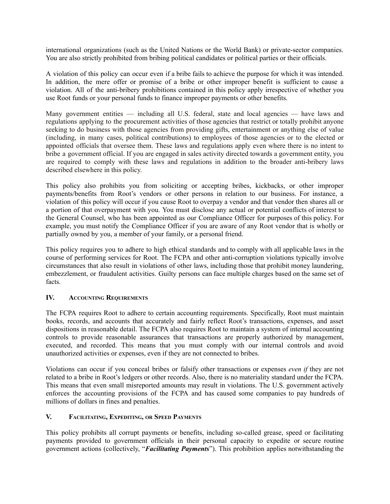international organizations (such as the United Nations or the World Bank) or private-sector companies. You are also strictly prohibited from bribing political candidates or political parties or their officials.

A violation of this policy can occur even if a bribe fails to achieve the purpose for which it was intended. In addition, the mere offer or promise of a bribe or other improper benefit is sufficient to cause a violation. All of the anti-bribery prohibitions contained in this policy apply irrespective of whether you use Root funds or your personal funds to finance improper payments or other benefits.

Many government entities — including all U.S. federal, state and local agencies — have laws and regulations applying to the procurement activities of those agencies that restrict or totally prohibit anyone seeking to do business with those agencies from providing gifts, entertainment or anything else of value (including, in many cases, political contributions) to employees of those agencies or to the elected or appointed officials that oversee them. These laws and regulations apply even where there is no intent to bribe a government official. If you are engaged in sales activity directed towards a government entity, you are required to comply with these laws and regulations in addition to the broader anti-bribery laws described elsewhere in this policy.

This policy also prohibits you from soliciting or accepting bribes, kickbacks, or other improper payments/benefits from Root's vendors or other persons in relation to our business. For instance, a violation of this policy will occur if you cause Root to overpay a vendor and that vendor then shares all or a portion of that overpayment with you. You must disclose any actual or potential conflicts of interest to the General Counsel, who has been appointed as our Compliance Officer for purposes of this policy. For example, you must notify the Compliance Officer if you are aware of any Root vendor that is wholly or partially owned by you, a member of your family, or a personal friend.

This policy requires you to adhere to high ethical standards and to comply with all applicable laws in the course of performing services for Root. The FCPA and other anti-corruption violations typically involve circumstances that also result in violations of other laws, including those that prohibit money laundering, embezzlement, or fraudulent activities. Guilty persons can face multiple charges based on the same set of facts.

# **IV. ACCOUNTING REQUIREMENTS**

The FCPA requires Root to adhere to certain accounting requirements. Specifically, Root must maintain books, records, and accounts that accurately and fairly reflect Root's transactions, expenses, and asset dispositions in reasonable detail. The FCPA also requires Root to maintain a system of internal accounting controls to provide reasonable assurances that transactions are properly authorized by management, executed, and recorded. This means that you must comply with our internal controls and avoid unauthorized activities or expenses, even if they are not connected to bribes.

Violations can occur if you conceal bribes or falsify other transactions or expenses *even if* they are not related to a bribe in Root's ledgers or other records. Also, there is no materiality standard under the FCPA. This means that even small misreported amounts may result in violations. The U.S. government actively enforces the accounting provisions of the FCPA and has caused some companies to pay hundreds of millions of dollars in fines and penalties.

# **V. FACILITATING, EXPEDITING, OR SPEED PAYMENTS**

This policy prohibits all corrupt payments or benefits, including so-called grease, speed or facilitating payments provided to government officials in their personal capacity to expedite or secure routine government actions (collectively, "*Facilitating Payments*"). This prohibition applies notwithstanding the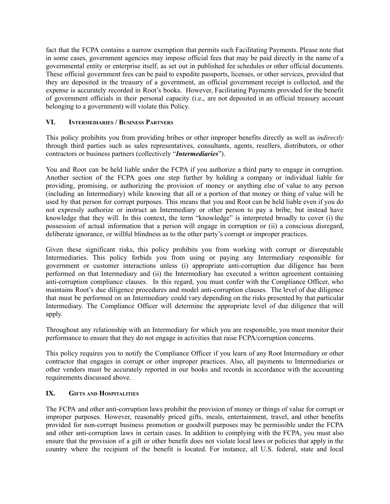fact that the FCPA contains a narrow exemption that permits such Facilitating Payments. Please note that in some cases, government agencies may impose official fees that may be paid directly in the name of a governmental entity or enterprise itself, as set out in published fee schedules or other official documents. These official government fees can be paid to expedite passports, licenses, or other services, provided that they are deposited in the treasury of a government, an official government receipt is collected, and the expense is accurately recorded in Root's books. However, Facilitating Payments provided for the benefit of government officials in their personal capacity (i.e., are not deposited in an official treasury account belonging to a government) will violate this Policy.

# **VI. INTERMEDIARIES / BUSINESS PARTNERS**

This policy prohibits you from providing bribes or other improper benefits directly as well as *indirectly* through third parties such as sales representatives, consultants, agents, resellers, distributors, or other contractors or business partners (collectively "*Intermediaries*").

You and Root can be held liable under the FCPA if you authorize a third party to engage in corruption. Another section of the FCPA goes one step further by holding a company or individual liable for providing, promising, or authorizing the provision of money or anything else of value to any person (including an Intermediary) while knowing that all or a portion of that money or thing of value will be used by that person for corrupt purposes. This means that you and Root can be held liable even if you do not expressly authorize or instruct an Intermediary or other person to pay a bribe, but instead have knowledge that they will. In this context, the term "knowledge" is interpreted broadly to cover (i) the possession of actual information that a person will engage in corruption or (ii) a conscious disregard, deliberate ignorance, or willful blindness as to the other party's corrupt or improper practices.

Given these significant risks, this policy prohibits you from working with corrupt or disreputable Intermediaries. This policy forbids you from using or paying any Intermediary responsible for government or customer interactions unless (i) appropriate anti-corruption due diligence has been performed on that Intermediary and (ii) the Intermediary has executed a written agreement containing anti-corruption compliance clauses. In this regard, you must confer with the Compliance Officer, who maintains Root's due diligence procedures and model anti-corruption clauses. The level of due diligence that must be performed on an Intermediary could vary depending on the risks presented by that particular Intermediary. The Compliance Officer will determine the appropriate level of due diligence that will apply.

Throughout any relationship with an Intermediary for which you are responsible, you must monitor their performance to ensure that they do not engage in activities that raise FCPA/corruption concerns.

This policy requires you to notify the Compliance Officer if you learn of any Root Intermediary or other contractor that engages in corrupt or other improper practices. Also, all payments to Intermediaries or other vendors must be accurately reported in our books and records in accordance with the accounting requirements discussed above.

# **IX. GIFTS AND HOSPITALITIES**

The FCPA and other anti-corruption laws prohibit the provision of money or things of value for corrupt or improper purposes. However, reasonably priced gifts, meals, entertainment, travel, and other benefits provided for non-corrupt business promotion or goodwill purposes may be permissible under the FCPA and other anti-corruption laws in certain cases. In addition to complying with the FCPA, you must also ensure that the provision of a gift or other benefit does not violate local laws or policies that apply in the country where the recipient of the benefit is located. For instance, all U.S. federal, state and local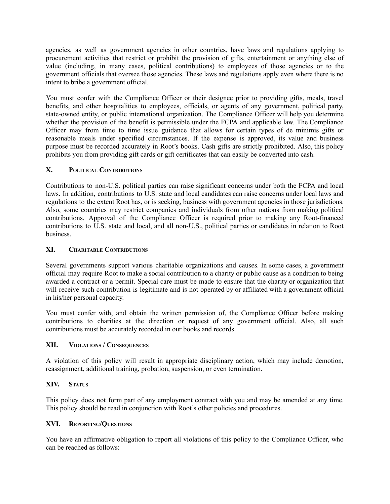agencies, as well as government agencies in other countries, have laws and regulations applying to procurement activities that restrict or prohibit the provision of gifts, entertainment or anything else of value (including, in many cases, political contributions) to employees of those agencies or to the government officials that oversee those agencies. These laws and regulations apply even where there is no intent to bribe a government official.

You must confer with the Compliance Officer or their designee prior to providing gifts, meals, travel benefits, and other hospitalities to employees, officials, or agents of any government, political party, state-owned entity, or public international organization. The Compliance Officer will help you determine whether the provision of the benefit is permissible under the FCPA and applicable law. The Compliance Officer may from time to time issue guidance that allows for certain types of de minimis gifts or reasonable meals under specified circumstances. If the expense is approved, its value and business purpose must be recorded accurately in Root's books. Cash gifts are strictly prohibited. Also, this policy prohibits you from providing gift cards or gift certificates that can easily be converted into cash.

## **X. POLITICAL CONTRIBUTIONS**

Contributions to non-U.S. political parties can raise significant concerns under both the FCPA and local laws. In addition, contributions to U.S. state and local candidates can raise concerns under local laws and regulations to the extent Root has, or is seeking, business with government agencies in those jurisdictions. Also, some countries may restrict companies and individuals from other nations from making political contributions. Approval of the Compliance Officer is required prior to making any Root-financed contributions to U.S. state and local, and all non-U.S., political parties or candidates in relation to Root business.

### **XI. CHARITABLE CONTRIBUTIONS**

Several governments support various charitable organizations and causes. In some cases, a government official may require Root to make a social contribution to a charity or public cause as a condition to being awarded a contract or a permit. Special care must be made to ensure that the charity or organization that will receive such contribution is legitimate and is not operated by or affiliated with a government official in his/her personal capacity.

You must confer with, and obtain the written permission of, the Compliance Officer before making contributions to charities at the direction or request of any government official. Also, all such contributions must be accurately recorded in our books and records.

### **XII. VIOLATIONS / CONSEQUENCES**

A violation of this policy will result in appropriate disciplinary action, which may include demotion, reassignment, additional training, probation, suspension, or even termination.

### **XIV. STATUS**

This policy does not form part of any employment contract with you and may be amended at any time. This policy should be read in conjunction with Root's other policies and procedures.

### **XVI. REPORTING/QUESTIONS**

You have an affirmative obligation to report all violations of this policy to the Compliance Officer, who can be reached as follows: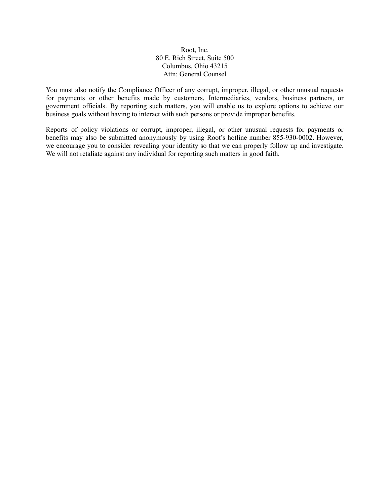### Root, Inc. 80 E. Rich Street, Suite 500 Columbus, Ohio 43215 Attn: General Counsel

You must also notify the Compliance Officer of any corrupt, improper, illegal, or other unusual requests for payments or other benefits made by customers, Intermediaries, vendors, business partners, or government officials. By reporting such matters, you will enable us to explore options to achieve our business goals without having to interact with such persons or provide improper benefits.

Reports of policy violations or corrupt, improper, illegal, or other unusual requests for payments or benefits may also be submitted anonymously by using Root's hotline number 855-930-0002. However, we encourage you to consider revealing your identity so that we can properly follow up and investigate. We will not retaliate against any individual for reporting such matters in good faith.